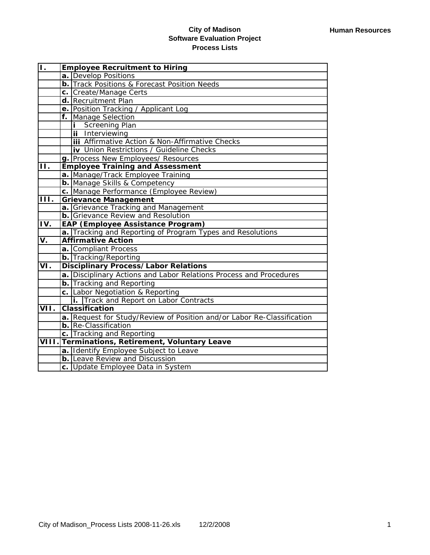| $\overline{\mathsf{L}}$ | <b>Employee Recruitment to Hiring</b>                                  |  |
|-------------------------|------------------------------------------------------------------------|--|
|                         | a. Develop Positions                                                   |  |
|                         | <b>b.</b> Track Positions & Forecast Position Needs                    |  |
|                         | c. Create/Manage Certs                                                 |  |
|                         | d. Recruitment Plan                                                    |  |
|                         | e. Position Tracking / Applicant Log                                   |  |
|                         | f. Manage Selection                                                    |  |
|                         | <i>i</i> Screening Plan                                                |  |
|                         | ii Interviewing                                                        |  |
|                         | <b>iii</b> Affirmative Action & Non-Affirmative Checks                 |  |
|                         | iv Union Restrictions / Guideline Checks                               |  |
|                         | g. Process New Employees/ Resources                                    |  |
| 11.                     | <b>Employee Training and Assessment</b>                                |  |
|                         | a. Manage/Track Employee Training                                      |  |
|                         | <b>b.</b> Manage Skills & Competency                                   |  |
|                         | c. Manage Performance (Employee Review)                                |  |
| Ш.                      | <b>Grievance Management</b>                                            |  |
|                         | a. Grievance Tracking and Management                                   |  |
|                         | <b>b.</b> Grievance Review and Resolution                              |  |
| IV.                     | <b>EAP (Employee Assistance Program)</b>                               |  |
|                         | a. Tracking and Reporting of Program Types and Resolutions             |  |
| V.                      | <b>Affirmative Action</b>                                              |  |
|                         | a. Compliant Process                                                   |  |
|                         | <b>b.</b> Tracking/Reporting                                           |  |
| VI.                     | <b>Disciplinary Process/Labor Relations</b>                            |  |
|                         | a. Disciplinary Actions and Labor Relations Process and Procedures     |  |
|                         | <b>b.</b> Tracking and Reporting                                       |  |
|                         | c. Labor Negotiation & Reporting                                       |  |
|                         | i. Track and Report on Labor Contracts                                 |  |
| VII.                    | <b>Classification</b>                                                  |  |
|                         | a. Request for Study/Review of Position and/or Labor Re-Classification |  |
|                         | b. Re-Classification                                                   |  |
|                         | c. Tracking and Reporting                                              |  |
|                         | VIII. Terminations, Retirement, Voluntary Leave                        |  |
|                         | a. Identify Employee Subject to Leave                                  |  |
|                         | <b>b.</b> Leave Review and Discussion                                  |  |
|                         | c. Update Employee Data in System                                      |  |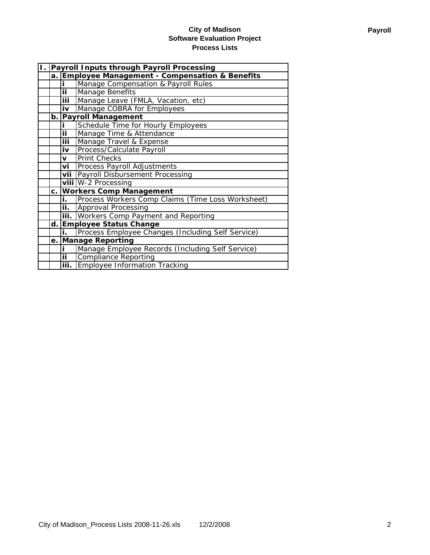| 1. Payroll Inputs through Payroll Processing |                                                  |                                                   |  |
|----------------------------------------------|--------------------------------------------------|---------------------------------------------------|--|
|                                              | a. Employee Management - Compensation & Benefits |                                                   |  |
|                                              |                                                  | Manage Compensation & Payroll Rules               |  |
|                                              | ΪĪ                                               | <b>Manage Benefits</b>                            |  |
|                                              | <b>iii</b>                                       | Manage Leave (FMLA, Vacation, etc)                |  |
|                                              | iv                                               | Manage COBRA for Employees                        |  |
|                                              |                                                  | b. Payroll Management                             |  |
|                                              |                                                  | Schedule Time for Hourly Employees                |  |
|                                              | <u>ii </u>                                       | Manage Time & Attendance                          |  |
|                                              | <u>iii</u>                                       | Manage Travel & Expense                           |  |
|                                              | iv                                               | Process/Calculate Payroll                         |  |
|                                              | <b>v</b>                                         | <b>Print Checks</b>                               |  |
|                                              | vi                                               | Process Payroll Adjustments                       |  |
|                                              |                                                  | vii Payroll Disbursement Processing               |  |
|                                              |                                                  | viii W-2 Processing                               |  |
|                                              | c. Workers Comp Management                       |                                                   |  |
|                                              | i.                                               | Process Workers Comp Claims (Time Loss Worksheet) |  |
|                                              | $\overline{\mathsf{ii}}$ .                       | Approval Processing                               |  |
|                                              |                                                  | iii. Workers Comp Payment and Reporting           |  |
|                                              | d. Employee Status Change                        |                                                   |  |
|                                              | i.                                               | Process Employee Changes (Including Self Service) |  |
|                                              | e. Manage Reporting                              |                                                   |  |
|                                              |                                                  | Manage Employee Records (Including Self Service)  |  |
|                                              | $\overline{\mathbf{ii}}$                         | <b>Compliance Reporting</b>                       |  |
|                                              | iii.                                             | <b>Employee Information Tracking</b>              |  |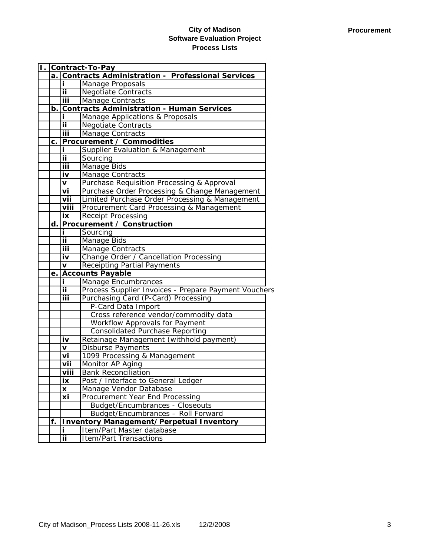| Π. |      | <b>Contract-To-Pay</b>                                  |                                                      |  |
|----|------|---------------------------------------------------------|------------------------------------------------------|--|
|    | a. I | <b>Contracts Administration - Professional Services</b> |                                                      |  |
|    |      | i.                                                      | Manage Proposals                                     |  |
|    |      | ii.                                                     | <b>Negotiate Contracts</b>                           |  |
|    |      | iii                                                     | <b>Manage Contracts</b>                              |  |
|    | b.   |                                                         | <b>Contracts Administration - Human Services</b>     |  |
|    |      |                                                         | Manage Applications & Proposals                      |  |
|    |      | ij                                                      | <b>Negotiate Contracts</b>                           |  |
|    |      | iii                                                     | Manage Contracts                                     |  |
|    | c.   |                                                         | <b>Procurement / Commodities</b>                     |  |
|    |      | i                                                       | Supplier Evaluation & Management                     |  |
|    |      | ij                                                      | Sourcing                                             |  |
|    |      | iii                                                     | Manage Bids                                          |  |
|    |      | iv                                                      | Manage Contracts                                     |  |
|    |      | V                                                       | Purchase Requisition Processing & Approval           |  |
|    |      | vi                                                      | Purchase Order Processing & Change Management        |  |
|    |      | vii                                                     | Limited Purchase Order Processing & Management       |  |
|    |      | viii                                                    | Procurement Card Processing & Management             |  |
|    |      | ix                                                      | Receipt Processing                                   |  |
|    | d.   |                                                         | <b>Procurement / Construction</b>                    |  |
|    |      | i                                                       | Sourcing                                             |  |
|    |      | ij                                                      | Manage Bids                                          |  |
|    |      | ΪiΪ                                                     | <b>Manage Contracts</b>                              |  |
|    |      | iv                                                      | Change Order / Cancellation Processing               |  |
|    |      | $\mathbf{v}$                                            | <b>Receipting Partial Payments</b>                   |  |
|    | e.   |                                                         | <b>Accounts Payable</b>                              |  |
|    |      | i                                                       | Manage Encumbrances                                  |  |
|    |      | ii.                                                     | Process Supplier Invoices - Prepare Payment Vouchers |  |
|    |      | iii                                                     | Purchasing Card (P-Card) Processing                  |  |
|    |      |                                                         | P-Card Data Import                                   |  |
|    |      |                                                         | Cross reference vendor/commodity data                |  |
|    |      |                                                         | Workflow Approvals for Payment                       |  |
|    |      |                                                         | Consolidated Purchase Reporting                      |  |
|    |      | iv                                                      | Retainage Management (withhold payment)              |  |
|    |      | v                                                       | Disburse Payments                                    |  |
|    |      | vi                                                      | 1099 Processing & Management                         |  |
|    |      | vii                                                     | Monitor AP Aging                                     |  |
|    |      | viii                                                    | <b>Bank Reconciliation</b>                           |  |
|    |      | ix                                                      | Post / Interface to General Ledger                   |  |
|    |      | X                                                       | Manage Vendor Database                               |  |
|    |      | xi                                                      | Procurement Year End Processing                      |  |
|    |      |                                                         | <b>Budget/Encumbrances - Closeouts</b>               |  |
|    |      |                                                         | Budget/Encumbrances - Roll Forward                   |  |
|    | f.   |                                                         | <b>Inventory Management/Perpetual Inventory</b>      |  |
|    |      | Ĭ.                                                      | Item/Part Master database                            |  |
|    |      | ij                                                      | <b>Item/Part Transactions</b>                        |  |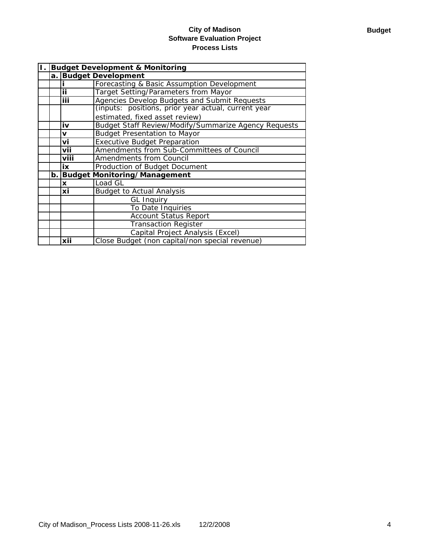| <b>Budget Development &amp; Monitoring</b> |      |                                                      |
|--------------------------------------------|------|------------------------------------------------------|
| a. I                                       |      | <b>Budget Development</b>                            |
|                                            |      | Forecasting & Basic Assumption Development           |
|                                            | iί   | <b>Target Setting/Parameters from Mayor</b>          |
|                                            | iii  | Agencies Develop Budgets and Submit Requests         |
|                                            |      | (inputs: positions, prior year actual, current year  |
|                                            |      | estimated, fixed asset review)                       |
|                                            | iv   | Budget Staff Review/Modify/Summarize Agency Requests |
|                                            | V    | <b>Budget Presentation to Mayor</b>                  |
|                                            | vi   | <b>Executive Budget Preparation</b>                  |
|                                            | vii  | Amendments from Sub-Committees of Council            |
|                                            | viii | <b>Amendments from Council</b>                       |
|                                            | iх   | Production of Budget Document                        |
|                                            |      | b. Budget Monitoring/Management                      |
|                                            | X    | Load GL                                              |
|                                            | xi   | <b>Budget to Actual Analysis</b>                     |
|                                            |      | <b>GL Inquiry</b>                                    |
|                                            |      | To Date Inquiries                                    |
|                                            |      | <b>Account Status Report</b>                         |
|                                            |      | <b>Transaction Register</b>                          |
|                                            |      | Capital Project Analysis (Excel)                     |
|                                            | xii  | Close Budget (non capital/non special revenue)       |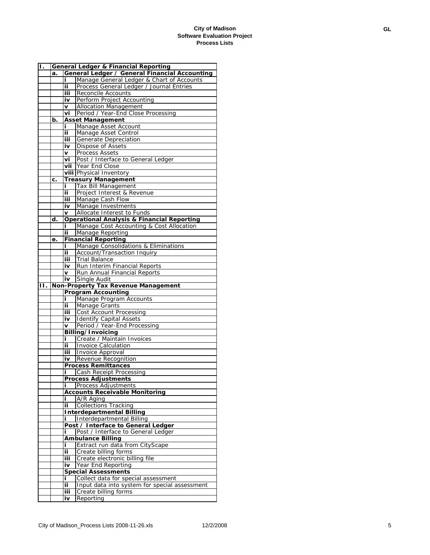| Π. |    |           | <b>General Ledger &amp; Financial Reporting</b>       |
|----|----|-----------|-------------------------------------------------------|
|    | a. |           | General Ledger / General Financial Accounting         |
|    |    | i         | Manage General Ledger & Chart of Accounts             |
|    |    | ij        | Process General Ledger / Journal Entries              |
|    |    | iii.      | Reconcile Accounts                                    |
|    |    | iv        | Perform Project Accounting                            |
|    |    | v         | <b>Allocation Management</b>                          |
|    |    | vi        | Period / Year-End Close Processing                    |
|    | b. |           | <b>Asset Management</b>                               |
|    |    |           |                                                       |
|    |    | i         | Manage Asset Account                                  |
|    |    | ii        | Manage Asset Control                                  |
|    |    | iii       | Generate Depreciation                                 |
|    |    | iv        | Dispose of Assets                                     |
|    |    | v         | Process Assets                                        |
|    |    | vi        | Post / Interface to General Ledger                    |
|    |    |           | vii Year End Close                                    |
|    |    |           | viii Physical Inventory                               |
|    | c. |           | <b>Treasury Management</b>                            |
|    |    | i         | Tax Bill Management                                   |
|    |    | ii        | Project Interest & Revenue                            |
|    |    | iii       | Manage Cash Flow                                      |
|    |    | iv        | Manage Investments                                    |
|    |    | V         | Allocate Interest to Funds                            |
|    | d. |           | <b>Operational Analysis &amp; Financial Reporting</b> |
|    |    | i         | Manage Cost Accounting & Cost Allocation              |
|    |    | ii        | Manage Reporting                                      |
|    | е. |           | <b>Financial Reporting</b>                            |
|    |    | i         | Manage Consolidations & Eliminations                  |
|    |    | ii        | Account/Transaction Inquiry                           |
|    |    | iii.      | Trial Balance                                         |
|    |    | iv        | Run Interim Financial Reports                         |
|    |    | V         | Run Annual Financial Reports                          |
|    |    | iv        | Single Audit                                          |
|    |    |           |                                                       |
|    |    |           |                                                       |
| н. |    |           | Non-Property Tax Revenue Management                   |
|    |    |           | <b>Program Accounting</b>                             |
|    |    | i         | Manage Program Accounts                               |
|    |    | ii.       | <b>Manage Grants</b>                                  |
|    |    | iii -     | <b>Cost Account Processing</b>                        |
|    |    | iv        | <b>Identify Capital Assets</b>                        |
|    |    | v         | Period / Year-End Processing                          |
|    |    |           | Billing/Invoicing                                     |
|    |    | i         | Create / Maintain Invoices                            |
|    |    | ij        | <b>Invoice Calculation</b>                            |
|    |    | iii       | Invoice Approval                                      |
|    |    | iv        | Revenue Recognition                                   |
|    |    |           | <b>Process Remittances</b>                            |
|    |    | i         | Cash Receipt Processing                               |
|    |    |           | <b>Process Adjustments</b>                            |
|    |    | i         | Process Adjustments                                   |
|    |    |           | <b>Accounts Receivable Monitoring</b>                 |
|    |    | i         | A/R Aging                                             |
|    |    | ii.       | <b>Collections Tracking</b>                           |
|    |    |           |                                                       |
|    |    | i         | <b>Interdepartmental Billing</b>                      |
|    |    |           | Interdepartmental Billing                             |
|    |    |           | Post / Interface to General Ledger                    |
|    |    |           | Post / Interface to General Ledger                    |
|    |    |           | <b>Ambulance Billing</b>                              |
|    |    | i         | Extract run data from CityScape                       |
|    |    | ij        | Create billing forms                                  |
|    |    | iii       | Create electronic billing file                        |
|    |    | iv        | Year End Reporting                                    |
|    |    |           | <b>Special Assessments</b>                            |
|    |    | i         | Collect data for special assessment                   |
|    |    | ii.       | Input data into system for special assessment         |
|    |    | iii<br>iv | Create billing forms<br>Reporting                     |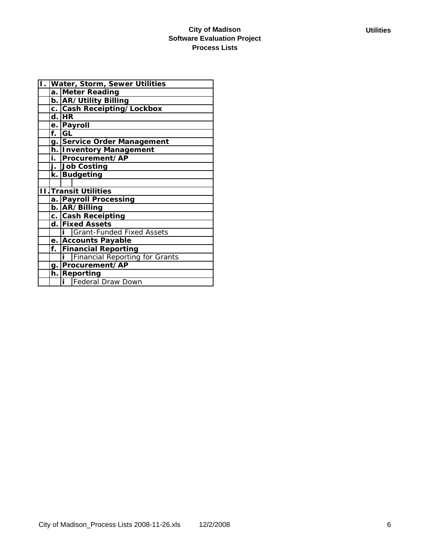|    | I. Water, Storm, Sewer Utilities        |  |  |
|----|-----------------------------------------|--|--|
|    | a. Meter Reading                        |  |  |
|    | b. AR/Utility Billing                   |  |  |
|    | c. Cash Receipting/Lockbox              |  |  |
|    | $d.$ HR                                 |  |  |
|    | e. Payroll                              |  |  |
| f. | <b>IGL</b>                              |  |  |
|    | g. Service Order Management             |  |  |
|    | h. Inventory Management                 |  |  |
| i. | Procurement/AP                          |  |  |
|    | j. Job Costing                          |  |  |
| k. | Budgeting                               |  |  |
|    |                                         |  |  |
|    | <b>II Transit Utilities</b>             |  |  |
|    | a. Payroll Processing                   |  |  |
|    | b. AR/Billing                           |  |  |
|    | c. Cash Receipting                      |  |  |
|    | d. Fixed Assets                         |  |  |
|    | <b>i</b> Grant-Funded Fixed Assets      |  |  |
|    | e. Accounts Payable                     |  |  |
| f. | <b>Financial Reporting</b>              |  |  |
|    | <i>i</i> Financial Reporting for Grants |  |  |
|    | g. Procurement/AP                       |  |  |
|    | h. Reporting                            |  |  |
|    | Federal Draw Down                       |  |  |
|    |                                         |  |  |